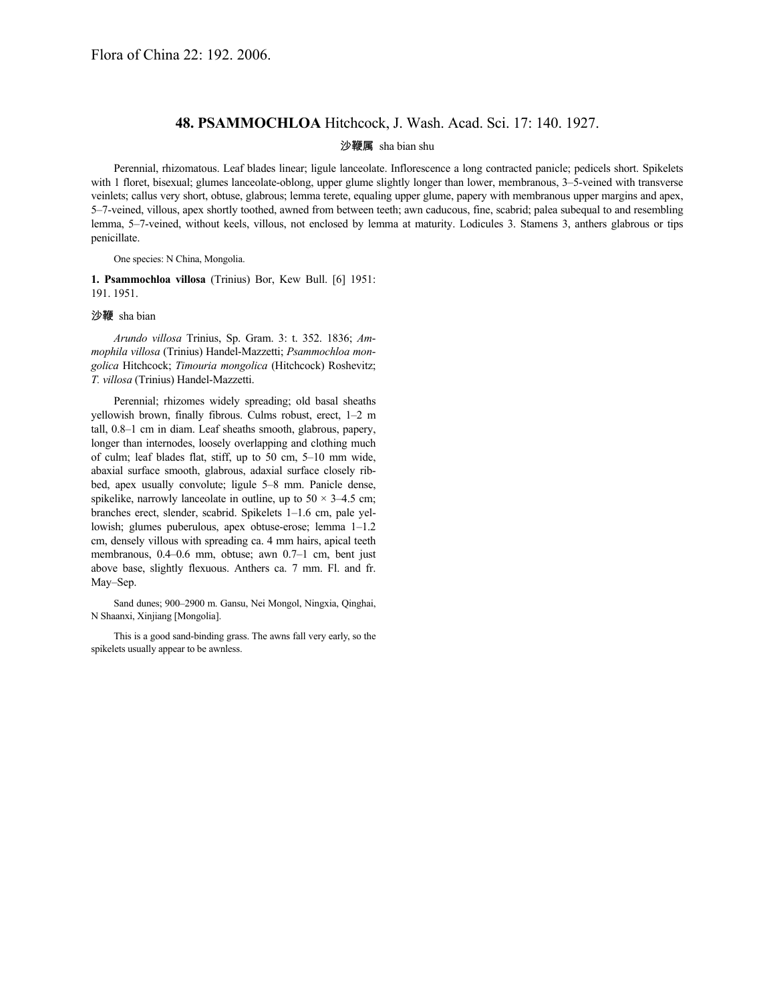## **48. PSAMMOCHLOA** Hitchcock, J. Wash. Acad. Sci. 17: 140. 1927.

## 沙鞭属 sha bian shu

Perennial, rhizomatous. Leaf blades linear; ligule lanceolate. Inflorescence a long contracted panicle; pedicels short. Spikelets with 1 floret, bisexual; glumes lanceolate-oblong, upper glume slightly longer than lower, membranous, 3–5-veined with transverse veinlets; callus very short, obtuse, glabrous; lemma terete, equaling upper glume, papery with membranous upper margins and apex, 5–7-veined, villous, apex shortly toothed, awned from between teeth; awn caducous, fine, scabrid; palea subequal to and resembling lemma, 5–7-veined, without keels, villous, not enclosed by lemma at maturity. Lodicules 3. Stamens 3, anthers glabrous or tips penicillate.

One species: N China, Mongolia.

**1. Psammochloa villosa** (Trinius) Bor, Kew Bull. [6] 1951: 191. 1951.

## 沙鞭 sha bian

*Arundo villosa* Trinius, Sp. Gram. 3: t. 352. 1836; *Ammophila villosa* (Trinius) Handel-Mazzetti; *Psammochloa mongolica* Hitchcock; *Timouria mongolica* (Hitchcock) Roshevitz; *T. villosa* (Trinius) Handel-Mazzetti.

Perennial; rhizomes widely spreading; old basal sheaths yellowish brown, finally fibrous. Culms robust, erect, 1–2 m tall, 0.8–1 cm in diam. Leaf sheaths smooth, glabrous, papery, longer than internodes, loosely overlapping and clothing much of culm; leaf blades flat, stiff, up to 50 cm, 5–10 mm wide, abaxial surface smooth, glabrous, adaxial surface closely ribbed, apex usually convolute; ligule 5–8 mm. Panicle dense, spikelike, narrowly lanceolate in outline, up to  $50 \times 3-4.5$  cm; branches erect, slender, scabrid. Spikelets 1–1.6 cm, pale yellowish; glumes puberulous, apex obtuse-erose; lemma 1–1.2 cm, densely villous with spreading ca. 4 mm hairs, apical teeth membranous, 0.4–0.6 mm, obtuse; awn 0.7–1 cm, bent just above base, slightly flexuous. Anthers ca. 7 mm. Fl. and fr. May–Sep.

Sand dunes; 900–2900 m. Gansu, Nei Mongol, Ningxia, Qinghai, N Shaanxi, Xinjiang [Mongolia].

This is a good sand-binding grass. The awns fall very early, so the spikelets usually appear to be awnless.